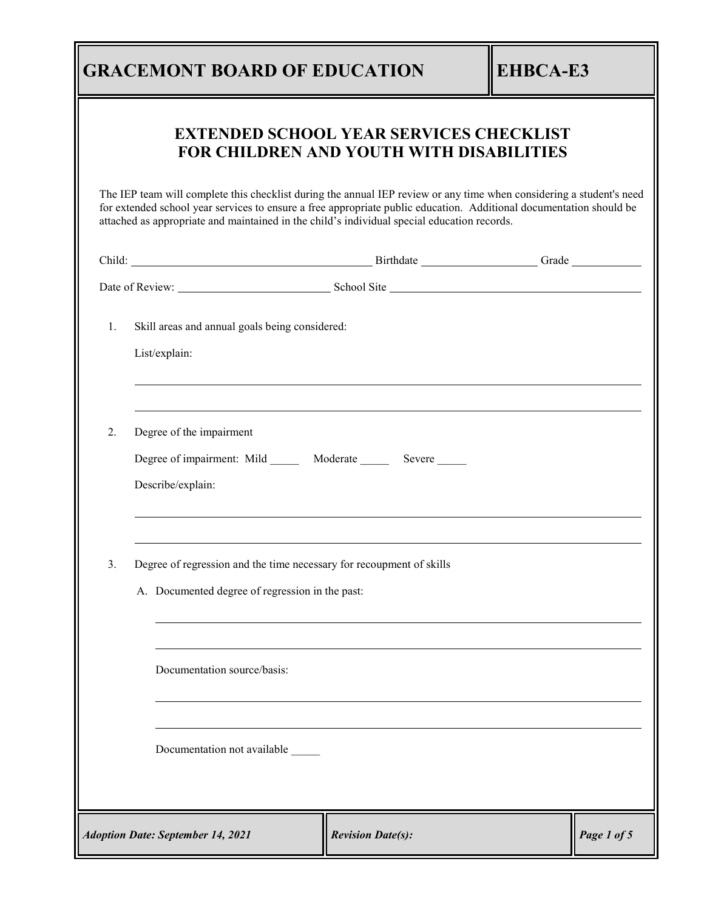## **GRACEMONT BOARD OF EDUCATION EHBCA-E3**

## **EXTENDED SCHOOL YEAR SERVICES CHECKLIST FOR CHILDREN AND YOUTH WITH DISABILITIES**

The IEP team will complete this checklist during the annual IEP review or any time when considering a student's need for extended school year services to ensure a free appropriate public education. Additional documentation should be attached as appropriate and maintained in the child's individual special education records.

|    |                                                                                                                         | Child: Child: Child: Child: Child: Child: Child: Child: Child: Child: Child: Child: Child: Child: Child: Child: Child: Child: Child: Child: Child: Child: Child: Child: Child: Child: Child: Child: Child: Child: Child: Child |             |  |  |
|----|-------------------------------------------------------------------------------------------------------------------------|--------------------------------------------------------------------------------------------------------------------------------------------------------------------------------------------------------------------------------|-------------|--|--|
|    |                                                                                                                         |                                                                                                                                                                                                                                |             |  |  |
| 1. | Skill areas and annual goals being considered:                                                                          |                                                                                                                                                                                                                                |             |  |  |
|    | List/explain:                                                                                                           |                                                                                                                                                                                                                                |             |  |  |
| 2. | Degree of the impairment                                                                                                |                                                                                                                                                                                                                                |             |  |  |
|    |                                                                                                                         | Degree of impairment: Mild _______ Moderate _______ Severe _____                                                                                                                                                               |             |  |  |
|    | Describe/explain:                                                                                                       |                                                                                                                                                                                                                                |             |  |  |
| 3. | Degree of regression and the time necessary for recoupment of skills<br>A. Documented degree of regression in the past: |                                                                                                                                                                                                                                |             |  |  |
|    | Documentation source/basis:                                                                                             |                                                                                                                                                                                                                                |             |  |  |
|    | Documentation not available                                                                                             |                                                                                                                                                                                                                                |             |  |  |
|    | <b>Adoption Date: September 14, 2021</b>                                                                                | <b>Revision Date(s):</b>                                                                                                                                                                                                       | Page 1 of 5 |  |  |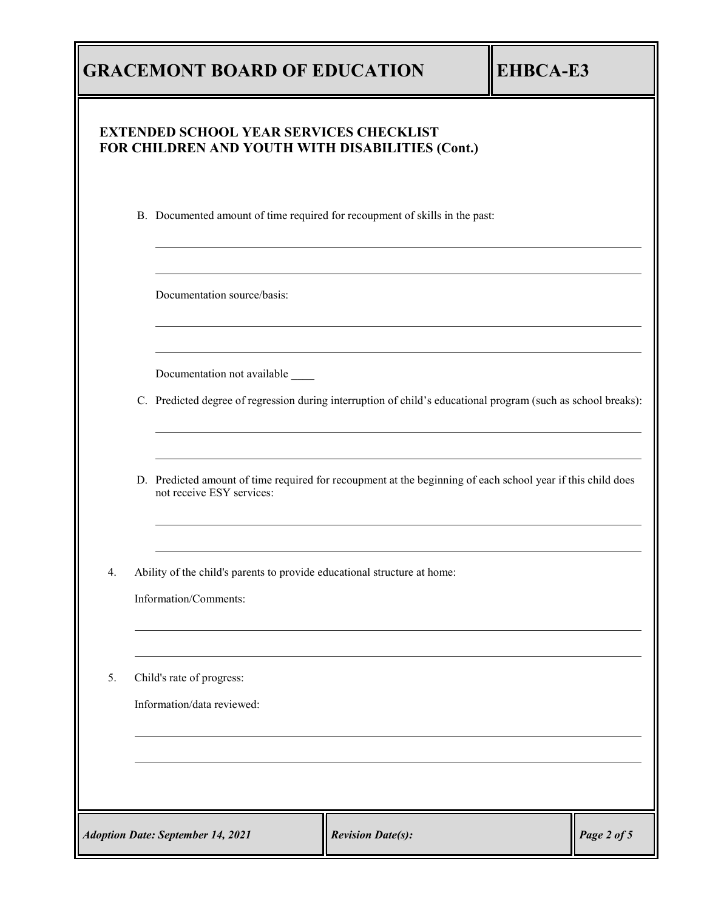|    |                                                         | <b>GRACEMONT BOARD OF EDUCATION</b>                                                                                                                |                          | <b>EHBCA-E3</b> |             |
|----|---------------------------------------------------------|----------------------------------------------------------------------------------------------------------------------------------------------------|--------------------------|-----------------|-------------|
|    |                                                         | <b>EXTENDED SCHOOL YEAR SERVICES CHECKLIST</b><br>FOR CHILDREN AND YOUTH WITH DISABILITIES (Cont.)                                                 |                          |                 |             |
|    |                                                         | B. Documented amount of time required for recoupment of skills in the past:                                                                        |                          |                 |             |
|    |                                                         | Documentation source/basis:                                                                                                                        |                          |                 |             |
|    |                                                         | Documentation not available _____<br>C. Predicted degree of regression during interruption of child's educational program (such as school breaks): |                          |                 |             |
|    |                                                         | D. Predicted amount of time required for recoupment at the beginning of each school year if this child does<br>not receive ESY services:           |                          |                 |             |
| 4. |                                                         | Ability of the child's parents to provide educational structure at home:<br>Information/Comments:                                                  |                          |                 |             |
| 5. | Child's rate of progress:<br>Information/data reviewed: |                                                                                                                                                    |                          |                 |             |
|    |                                                         |                                                                                                                                                    |                          |                 |             |
|    |                                                         | <b>Adoption Date: September 14, 2021</b>                                                                                                           | <b>Revision Date(s):</b> |                 | Page 2 of 5 |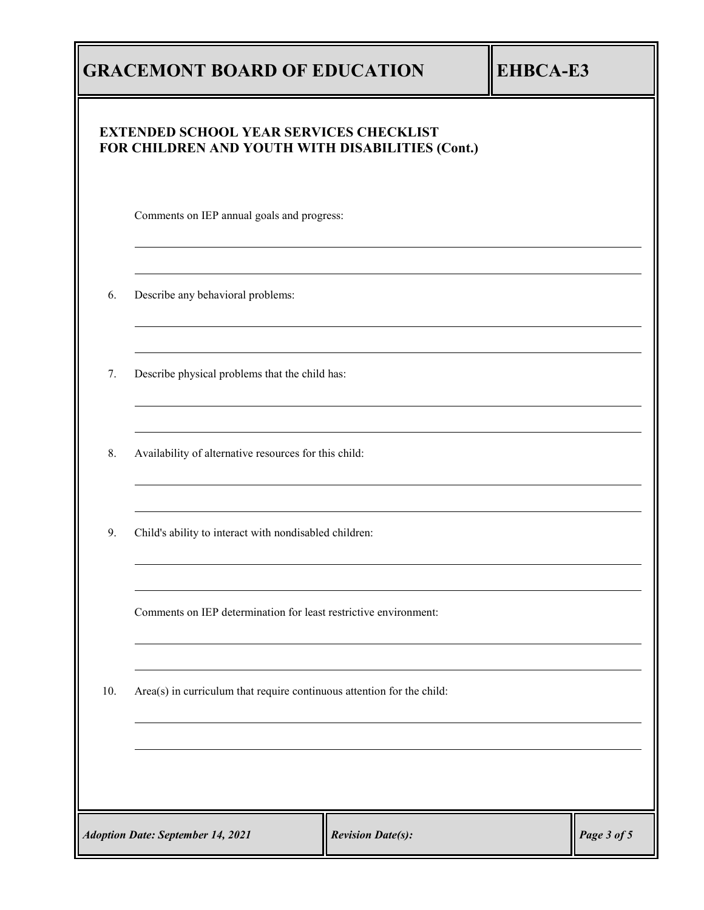|                                                                                     | <b>GRACEMONT BOARD OF EDUCATION</b><br><b>EHBCA-E3</b>                                             |  |  |  |  |
|-------------------------------------------------------------------------------------|----------------------------------------------------------------------------------------------------|--|--|--|--|
|                                                                                     | <b>EXTENDED SCHOOL YEAR SERVICES CHECKLIST</b><br>FOR CHILDREN AND YOUTH WITH DISABILITIES (Cont.) |  |  |  |  |
|                                                                                     | Comments on IEP annual goals and progress:                                                         |  |  |  |  |
| 6.                                                                                  | Describe any behavioral problems:                                                                  |  |  |  |  |
| 7.                                                                                  | Describe physical problems that the child has:                                                     |  |  |  |  |
| 8.                                                                                  | Availability of alternative resources for this child:                                              |  |  |  |  |
| 9.                                                                                  | Child's ability to interact with nondisabled children:                                             |  |  |  |  |
|                                                                                     | Comments on IEP determination for least restrictive environment:                                   |  |  |  |  |
| 10.                                                                                 | Area(s) in curriculum that require continuous attention for the child:                             |  |  |  |  |
|                                                                                     |                                                                                                    |  |  |  |  |
| <b>Adoption Date: September 14, 2021</b><br>Page 3 of 5<br><b>Revision Date(s):</b> |                                                                                                    |  |  |  |  |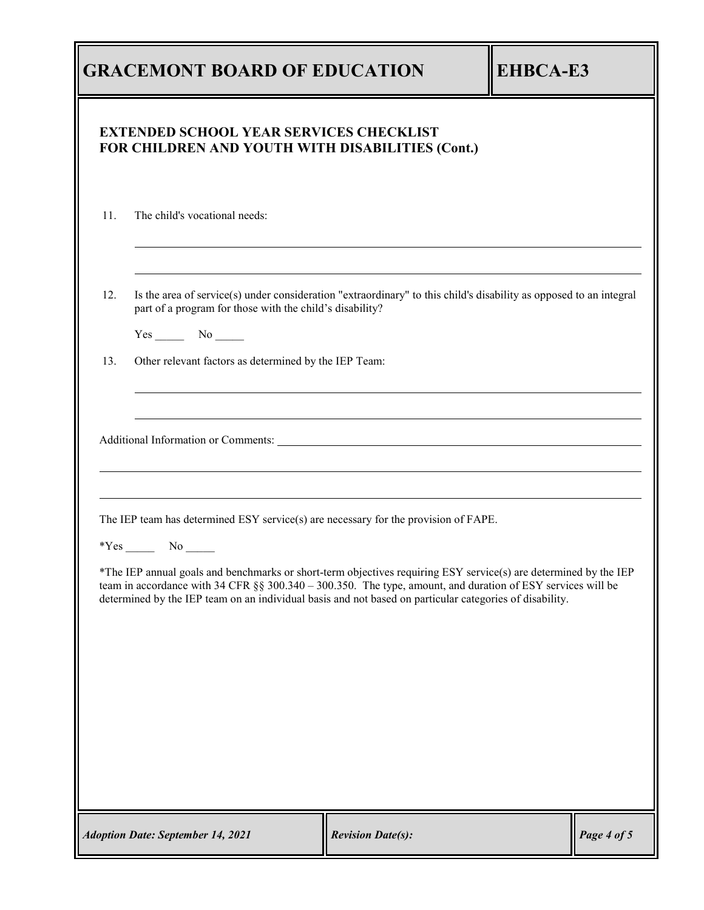|     | <b>GRACEMONT BOARD OF EDUCATION</b>                                                                                                                                                                                                                                                                                                        |                          | <b>EHBCA-E3</b> |             |
|-----|--------------------------------------------------------------------------------------------------------------------------------------------------------------------------------------------------------------------------------------------------------------------------------------------------------------------------------------------|--------------------------|-----------------|-------------|
|     | <b>EXTENDED SCHOOL YEAR SERVICES CHECKLIST</b><br>FOR CHILDREN AND YOUTH WITH DISABILITIES (Cont.)                                                                                                                                                                                                                                         |                          |                 |             |
| 11. | The child's vocational needs:                                                                                                                                                                                                                                                                                                              |                          |                 |             |
| 12. | Is the area of service(s) under consideration "extraordinary" to this child's disability as opposed to an integral<br>part of a program for those with the child's disability?<br>$Yes$ No $N$                                                                                                                                             |                          |                 |             |
| 13. | Other relevant factors as determined by the IEP Team:                                                                                                                                                                                                                                                                                      |                          |                 |             |
|     | The IEP team has determined ESY service(s) are necessary for the provision of FAPE.                                                                                                                                                                                                                                                        |                          |                 |             |
|     | *The IEP annual goals and benchmarks or short-term objectives requiring ESY service(s) are determined by the IEP<br>team in accordance with 34 CFR §§ 300.340 - 300.350. The type, amount, and duration of ESY services will be<br>determined by the IEP team on an individual basis and not based on particular categories of disability. |                          |                 |             |
|     |                                                                                                                                                                                                                                                                                                                                            |                          |                 |             |
|     |                                                                                                                                                                                                                                                                                                                                            |                          |                 |             |
|     | <b>Adoption Date: September 14, 2021</b>                                                                                                                                                                                                                                                                                                   | <b>Revision Date(s):</b> |                 | Page 4 of 5 |